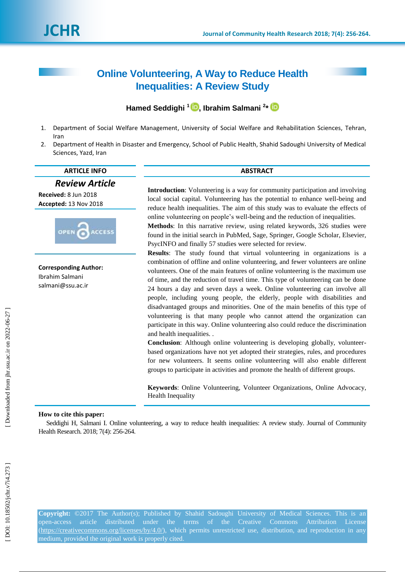# **[Online Volunteering, A Way to Reduce Health](http://jhr.ssu.ac.ir/article-1-479-en.html)  [Inequalities: A](http://jhr.ssu.ac.ir/article-1-479-en.html)  Review Study**

**Hamed Seddighi 1 [,](https://orcid.org/0000-0002-6214-4830) Ibrahim Salmani 2 \***

- 1. Department of Social Welfare Management, University of Social Welfare and Rehabilitation Sciences, Tehran, Ira n
- 2. Department of Health in Disaster and Emergency, School of Public Health, Shahid Sadoughi University of Medical Sciences, Yazd, Iran

### **ARTICLE INFO ABSTRACT**

*Review Article*

**Received:**  8 Jun 2018 **Accepted:** 13 Nov 2018



**Corresponding Author:** Ibrahim Salmani salmani@ssu.ac.ir

**Introduction**: Volunteering is a way for community participation and involving local social capital. Volunteering has the potential to enhance well -being and reduce health inequalities. The aim of this study was to evaluate the effects of online volunteering on people's well -being and the reduction of inequalities.

**Methods**: In this narrative review, using related keywords, 326 studies were found in the initial search in PubMed, Sage, Springer, Google Scholar, Elsevier, PsycINFO and finally 57 studies were selected for review.

**Results**: The study found that virtual volunteering in organizations is a combination of offline and online volunteering, and fewer volunteers are online volunteers. One of the main features of online volunteering is the maximum use of time, and the reduction of travel time. This type of volunteering can be done 24 hours a day and seven days a week. Online volunteering can involve all people, including young people, the elderly, people with disabilities and disadvantaged groups and minorities. One of the main benefits of this type of volunteering is that many people who cannot attend the organization can participate in this way . Online volunteering also could reduce the discrimination and health inequalities. .

**Conclusion**: Although online volunteering is developing globally, volunteer based organizations have not yet adopted their strategies, rules, and procedures for new volunteers. It seems online volunteering will also enable different groups to participate in activities and promote the health of different groups.

**Keywords**: Online Volunteering, Volunteer Organizations, Online Advocacy, Health Inequality

### **How to cite this paper:**

Seddighi H, Salmani I. [Online volunteering, a way to reduce health inequalities: A review study.](http://jhr.ssu.ac.ir/article-1-479-en.html) Journal of Community Health Research. 2018; 7(4): 256-264.

**Copyright:** ©2017 The Author(s); Published by Shahid Sadoughi University of Medical Sciences. This is an open-access article distributed under the terms of the Creative Commons Attribution License [\(https://creativecommons.org/licenses/by/4.0/\)](https://creativecommons.org/licenses/by/4.0/), which permits unrestricted use, distribution, and reproduction in any medium, provided the original work is properly cited.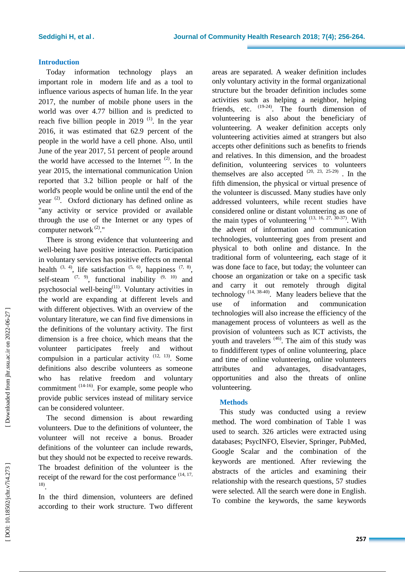### **Introduction**

Today information technology plays an important role in modern life and as a tool to influence various aspects of human life. In the year 2017, the number of mobile phone users in the world was over 4.77 billion and is predicted to reach five billion people in 2019 $(1)$ . In the year 2016, it was estimated that 62.9 percent of the people in the world have a cell phone. Also, until June of the year 2017, 51 percent of people around the world have accessed to the Internet  $(2)$ . In the year 2015, the international communication Union reported that 3.2 billion people or half of the world's people would be online until the end of the year  $(2)$ . Oxford dictionary has defined online as "any activity or service provided or available through the use of the Internet or any types of computer network (2)."

There is strong evidence that volunteering and well -being have positive interaction. Participation in voluntary services has positive effects on mental health  $(3, 4)$ , life satisfaction  $(5, 6)$ , happiness  $(7, 8)$ , self-steam  $(7, 9)$ , functional inability  $(9, 10)$  and psychosocial well-being<sup>(11)</sup>. Voluntary activities in the world are expanding at different levels and with different objectives. With an overview of the voluntary literature, we can find five dimensions in the definitions of the voluntary activity. The first dimension is a free choice, which means that the volunteer participates freely and without compulsion in a particular activity  $(12, 13)$ . Some definitions also describe volunteers as someone who has relative freedom and voluntary commitment <sup>(14-16)</sup>. For example, some people who provide public services instead of military service can be considered volunteer.

The second dimension is about rewarding volunteers. Due to the definitions of volunteer, the volunteer will not receive a bonus. Broader definitions of the volunteer can include rewards, but they should not be expected to receive rewards. The broadest definition of the volunteer is the receipt of the reward for the cost performance  $(14, 17, 17)$ 18) .

In the third dimension, volunteers are defined according to their work structure. Two different areas are separated. A weaker definition includes only voluntary activity in the formal organizational structure but the broader definition includes some activities such as helping a neighbor, helping friends, etc.  $(19-24)$ . The fourth dimension of volunteering is also about the beneficiary of volunteering. A weaker definition accepts only volunteering activities aimed at strangers but also accepts other definitions such as benefits to friends and relatives. In this dimension, and the broadest definition, volunteering services to volunteers themselves are also accepted  $(20, 23, 25-29)$ . In the fifth dimension, the physical or virtual presence of the volunteer is discussed. Many studies have only addressed volunteers, while recent studies have considered online or distant volunteering as one of the main types of volunteering  $(13, 16, 27, 30-37)$ . With the advent of information and communication technologies, volunteering goes from present and physical to both online and distance. In the traditional form of volunteering, each stage of it was done face to face, but today; the volunteer can choose an organization or take on a specific task and carry it out remotely through digital technology  $(14, 38-40)$ . Many leaders believe that the use of information and communication technologies will also increase the efficiency of the management process of volunteers as well as the provision of volunteers such as ICT activists, the youth and travelers <sup>(46)</sup>. The aim of this study was to finddifferent types of online volunteering, place and time of online volunteering, online volunteers attributes and advantages, disadvantages, opportunities and also the threats of online volunteering.

### **Method s**

This study was conducted using a review method. The word combination of Table 1 was used to search. 326 articles were extracted using databases; PsycINFO, Elsevier, Springer, PubMed, Google Scalar and the combination of the keywords are mentioned. After reviewing the abstracts of the articles and examining their relationship with the research questions, 57 studies were selected. All the search were done in English. To combine the keywords, the same keywords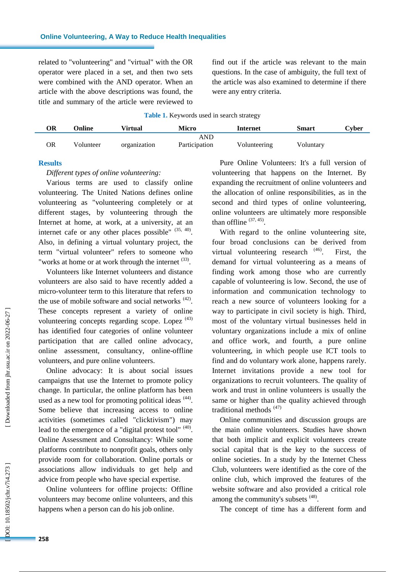related to "volunteering" and "virtual" with the OR operator were placed in a set, and then two sets were combined with the AND operator. When an article with the above descriptions was found, the title and summary of the article were reviewed to find out if the article was relevant to the main questions. In the case of ambiguity, the full text of the article was also examined to determine if there were any entry criteria.

**Table 1 .** Keywords used in search strategy

| ЭR | Online    | Virtual      | Micro         | Internet     | Smart     | Cyber |
|----|-----------|--------------|---------------|--------------|-----------|-------|
|    |           |              | AND           |              |           |       |
| ОR | Volunteer | organization | Participation | Volunteering | Voluntary |       |

### **Results**

*Different types of online volunteering :*

Various terms are used to classify online volunteering. The United Nations defines online volunteering as "volunteering completely or at different stages, by volunteering through the Internet at home, at work, at a university, at an internet cafe or any other places possible"  $(35, 40)$ . Also, in defining a virtual voluntary project, the term "virtual volunteer" refers to someone who "works at home or at work through the internet  $(33)$ .

Volunteers like Internet volunteers and distance volunteers are also said to have recently added a micro -volunteer term to this literature that refers to the use of mobile software and social networks  $(42)$ . These concepts represent a variety of online volunteering concepts regarding scope. Lopez  $(43)$ has identified four categories of online volunteer participation that are called online advocacy, online assessment , consultancy, online -offline volunteers, and pure online volunteers .

Online advocacy: It is about social issues campaigns that use the Internet to promote policy change. In particular, the online platform has been used as a new tool for promoting political ideas <sup>(44)</sup>. Some believe that increasing access to online activities (sometimes called "clicktivism") may lead to the emergence of a "digital protest tool"  $(40)$ . Online Assessment and Consultancy: While some platforms contribute to nonprofit goals, others only provide room for collaboration. Online portals or associations allow individuals to get help and advice from people who have special expertise.

Online volunteers for offline projects: Offline volunteers may become online volunteers, and this happens when a person can do his job online.

Pure Online Volunteers: It's a full version of volunteering that happens on the Internet. By expanding the recruitment of online volunteers and the allocation of online responsibilities, as in the second and third types of online volunteering, online volunteers are ultimately more responsible than offline  $(37, 45)$ .

With regard to the online volunteering site, four broad conclusions can be derived from virtual volunteering research (46) First, the demand for virtual volunteering as a means of finding work among those who are currently capable of volunteering is low. Second, the use of information and communication technology to reach a new source of volunteers looking for a way to participate in civil society is high. Third, most of the voluntary virtual businesses held in voluntary organizations include a mix of online and office work, and fourth, a pure online volunteering, in which people use ICT tools to find and do voluntary work alone, happens rarely. Internet invitations provide a new tool for organizations to recruit volunteers. The quality of work and trust in online volunteers is usually the same or higher than the quality achieved through traditional methods<sup>(47)</sup>

Online communities and discussion groups are the main online volunteers. Studies have shown that both implicit and explicit volunteers create social capital that is the key to the success of online societies. In a study by the Internet Chess Club, volunteers were identified as the core of the online club, which improved the features of the website software and also provided a critical role among the community's subsets <sup>(48)</sup>.

The concept of time has a different form and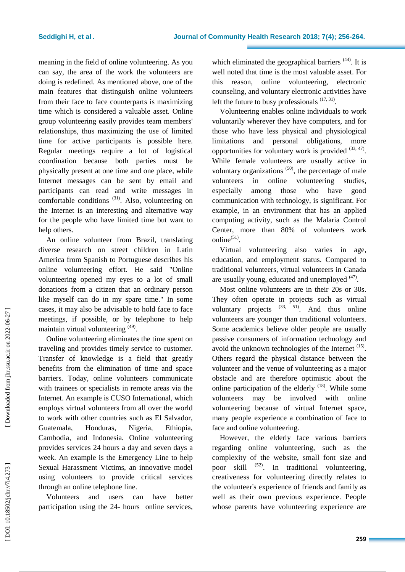meanin g in the field of online volunteering. As you can say, the area of the work the volunteers are doing is redefined. As mentioned above, one of the main features that distinguish online volunteers from their face to face counterparts is maximizing time which is considered a valuable asset. Online group volunteering easily provides team members' relationships, thus maximizing the use of limited time for active participants is possible here. Regular meetings require a lot of logistical coordination because both parties must be physically present at one time and one place, while Internet messages can be sent by email and participants can read and write messages in comfortable conditions  $(31)$ . Also, volunteering on the Internet is an interesting and alternative way for the people who have limited time but want to help others .

An online volunteer from Brazil, translating diverse research on street children in Latin America from Spanish to Portuguese describes his online volunteering effort. He said "Online volunteering opened my eyes to a lot of small donations from a citizen that an ordinary person like myself can do in my spare time." In some cases, it may also be advisable to hold face to face meetings, if possible, or by telephone to help maintain virtual volunteering <sup>(49)</sup>.

Online volunteering eliminates the time spent on traveling and provides timely service to customer. Transfer of knowledge is a field that greatly benefits from the elimination of time and space barriers. Today, online volunteers communicate with trainees or specialists in remote areas via the Internet. An example is CUSO International, which employs virtual volunteers from all over the world to work with other countries such as El Salvador, Guatemala, Honduras, Nigeria, Ethiopia, Cambodia , and Indonesia. Online volunteering provides services 24 hours a day and seven days a week. An example is the Emergency Line to help Sexual Harassment Victims, an innovative model using volunteers to provide critical services through an online telephone line.

Volunteers and users can have better participation using the 24- hours online services,

which eliminated the geographical barriers<sup>(44)</sup>. It is well noted that time is the most valuable asset. For this reason, online volunteering, electronic counseling , and voluntary electronic activities have left the future to busy professionals  $(17, 31)$ .

Volunteering enables online individuals to work voluntarily wherever they have computers, and for those who have less physical and physiological limitations and personal obligations, more opportunities for voluntary work is provided  $(33, 47)$ . While female volunteers are usually active in voluntary organizations  $(50)$ , the percentage of male volunteers in online volunteering studies, especially among those who have good communication with technology, is significant. For example, in an environment that has an applied computing activity, such as the Malaria Control Center , more than 80% of volunteers work online $^{(51)}$ .

Virtual volunteering also varies in age, education, and employment status. Compared to traditional volunteers, virtual volunteers in Canada are usually young, educated and unemployed <sup>(47)</sup>.

Most online volunteers are in their 20s or 30s. They often operate in projects such as virtual voluntary projects  $(33, 51)$ . And thus online volunteers are younger than traditional volunteers. Some academics believe older people are usually passive consumers of information technology and avoid the unknown technologies of the Internet  $(15)$ . Others regard the physical distance between the volunteer and the venue of volunteering as a major obstacle and are therefore optimistic about the online participation of the elderly  $(18)$ . While some volunteers may be involved with online volunteering because of virtual Internet space, many people experience a combination of face to face and online volunteering.

However, the elderly face various barriers regarding online volunteering, such as the complexity of the website, small font size and poor skill  $(52)$ . In traditional volunteering, creativeness for volunteering directly relates to the volunteer's experience of friends and family as well as their own previous experience. People whose parents have volunteering experience are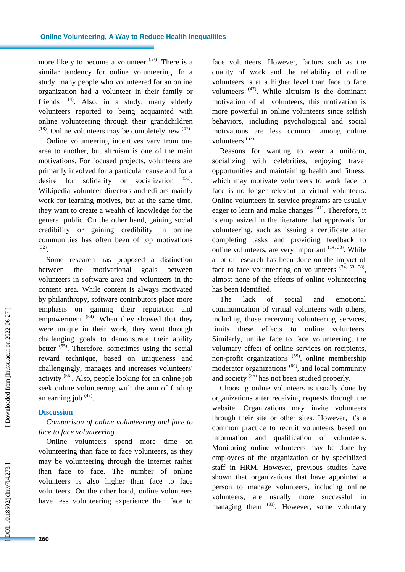more likely to become a volunteer  $(53)$ . There is a similar tendency for online volunteering. In a study, many people who volunteered for an online organization had a volunteer in their family or friends  $(14)$ . Also, in a study, many elderly volunteers reported to being acquainted with online volunteering through their grandchildren  $(18)$ . Online volunteers may be completely new  $(47)$ .

Online volunteering incentives vary from one area to another, but altruism is one of the main motivations. For focused projects, volunteers are primarily involved for a particular cause and for a desire for solidarity or socialization 1 ) . Wikipedia volunteer directors and editors mainly work for learning motives, but at the same time , they want to create a wealth of knowledge for the general public. On the other hand, gaining social credibility or gaining credibility in online communities has often been of top motivations  $^{(32)}$ .

Some research has proposed a distinction between the motivational goals between volunteers in software area and volunteers in the content area. While content is always motivated by philanthropy, software contributors place more emphasis on gaining their reputation and empowerment <sup>(54)</sup>. When they showed that they were unique in their work, they went through challenging goals to demonstrate their ability better  $(55)$ . Therefore, sometimes using the social reward technique, based on uniqueness and challengingly, manages and increases volunteers' activity<sup>(56)</sup>. Also, people looking for an online job seek online volunteering with the aim of finding an earning job  $(47)$ .

### **Discussion**

# *Comparison of online volunteering and face to face to face volunteering*

Online volunteers spend more time on volunteering than face to face volunteers, as they may be volunteering through the Internet rather than face to face. The number of online volunteers is also higher than face to face volunteers. On the other hand, online volunteers have less volunteering experience than face to face volunteers. However, factors such as the quality of work and the reliability of online volunteers is at a higher level than face to face volunteers  $(47)$ . While altruism is the dominant motivation of all volunteers, this motivation is more powerful in online volunteers since selfish behaviors, including psychological and social motivations are less common among online volunteers (57).

Reasons for wanting to wear a uniform, socializing with celebrities, enjoying travel opportunities and maintaining health and fitness, which may motivate volunteers to work face to face is no longer relevant to virtual volunteers. Online volunteers in -service programs are usually eager to learn and make changes<sup>(41)</sup>. Therefore, it is emphasized in the literature that approvals for volunteering, such as issuing a certificat e after completing tasks and providing feedback to online volunteers, are very important  $(14, 33)$ . While a lot of research has been done on the impact of face to face volunteering on volunteers  $(34, 53, 58)$ , almost none of the effects of online volunteering has been identified .

The lack of social and emotional communication of virtual volunteers with others, including those receiving volunteering services, limits these effects to online volunteers. Similarly, unlike face to face volunteering, the voluntary effect of online services on recipients, non-profit organizations <sup>(59)</sup>, online membership moderator organizations  $(60)$ , and local community and society<sup>(36)</sup> has not been studied properly.

Choosing online volunteers is usually done by organizations after receiving requests through the website. Organizations may invite volunteers through their site or other sites. However, it's a common practice to recruit volunteers based on information and qualification of volunteers . Monitoring online volunteers may be done by employees of the organization or by specialized staff in HRM. However, previous studies have shown that organizations that have appointed a person to manage volunteers, including online volunteers, are usually more successful in managing them  $(33)$ . However, some voluntary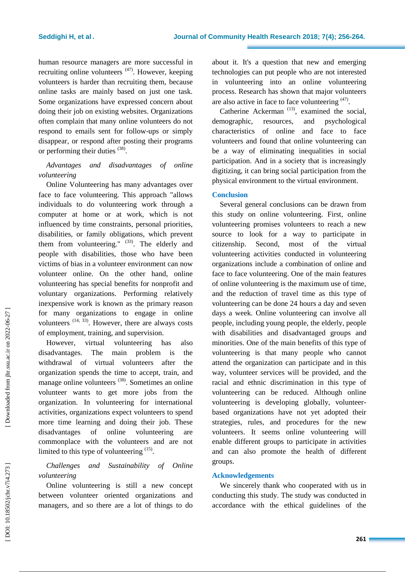human resource managers are more successful in recruiting online volunteers <sup>(47)</sup>. However, keeping volunteers is harder than recruiting them, because online tasks are mainly based on just one task. Some organizations have expressed concern about doing their job on existing websites. Organizations often complain that many online volunteers do not respond to emails sent for follow -ups or simply disappear, or respond after posting their programs or performing their duties  $(38)$ .

# *Advantages and disadvantages of online volunteering*

Online Volunteering has many advantages over face to face volunteering. This approach "allows individuals to do volunteering work through a computer at home or at work, which is not influenced by time constraints, personal priorities, disabilities, or family obligations, which prevent them from volunteering."  $(33)$ . The elderly and people with disabilities, those who have been victims of bias in a volunteer environment can now volunteer online. On the other hand, online volunteering has special benefits for nonprofit and voluntary organizations. Performing relatively inexpensive work is known as the primary reason for many organizations to engage in online volunteers  $(14, 33)$ . However, there are always costs of employment, training , and supervision.

However, virtual volunteering has also disadvantages. The main problem is the withdrawal of virtual volunteers after the organization spends the time to accept, train, and manage online volunteers<sup>(38)</sup>. Sometimes an online volunteer wants to get more jobs from the organization. In volunteering for international activities, organizations expect volunteers to spend more time learning and doing their job. These disadvantages of online volunteering are commonplace with the volunteers and are not limited to this type of volunteering  $(15)$ .

# *Challenges and Sustainability of Online volunteering*

Online volunteering is still a new concept between volunteer oriented organizations and managers, and so there are a lot of things to do about it. It's a question that new and emerging technologies can put people who are not interested in volunteering into an online volunteering process. Research has shown that major volunteers are also active in face to face volunteering  $(47)$ .

Catherine Ackerman<sup> $(13)$ </sup>, examined the social, demographic, resources, and psychological characteristics of online and face to face volunteers and found that online volunteering can be a way of eliminating inequalities in social participation. And in a society that is increasingly digitizing, it can bring social participation from the physical environment to the virtual environment.

## **Conclusion**

Several general conclusions can be drawn from this study on online volunteering. First , online volunteering promises volunteers to reach a new source to look for a way to participate in citizenship. Second, most of the virtual volunteering activities conducted in volunteering organizations include a combination of online and face to face volunteering. One of the main features of online volunteering is the maximum use of time, and the reduction of travel time as this type of volunteering can be done 24 hours a day and seven days a week. Online volunteering can involve all people, including young people, the elderly, people with disabilities and disadvantaged groups and minorities. One of the main benefits of this type of volunteering is that many people who cannot attend the organization can participate and in this way, volunteer services will be provided, and the racial and ethnic discrimination in this type of volunteering can be reduced. Although online volunteering is developing globally, volunteer based organizations have not yet adopted their strategies, rules , and procedures for the new volunteers. It seems online volunteering will enable different groups to participate in activities and can also promote the health of different groups.

### **Acknowledgements**

We sincerely thank who cooperated with us in conducting this study. The study was conducted in accordance with the ethical guidelines of the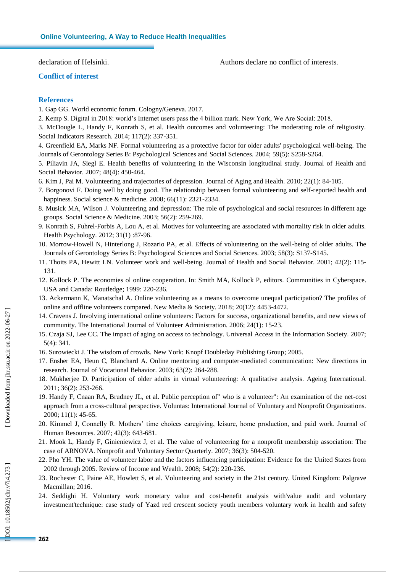declaration of Helsinki.

Authors declare no conflict of interests.

### **Conflict of interest**

### **References**

- 1. Gap GG. World economic forum. Cologny/Geneva. 2017.
- 2. Kemp S. Digital in 2018: world's Internet users pass the 4 billion mark. New York, We Are Social: 2018.
- 3. McDougle L, Handy F, Konrath S, et al. Health outcomes and volunteering: The moderating role of religiosity. Social Indicators Research. 2014; 117(2): 337 -351.
- 4. Greenfield EA, Marks NF. Formal volunteering as a protective factor for older adults' psychological well -being. The Journals of Gerontology Series B: Psychological Sciences and Social Sciences. 2004; 59(5): S258 -S264.
- 5. Piliavin JA, Siegl E. Health benefits of volunteering in the Wisconsin longitudinal study. Journal of Health and Social Behavior. 2007; 48(4): 450 - 464.
- 6. Kim J, Pai M. Volunteering and trajectories of depression. Journal of Aging and Health. 2010; 22(1): 84 -105.
- 7. Borgonovi F. Doing well by doing good. The relationship between formal volunteering and self -reported health and happiness. Social science & medicine. 2008; 66(11): 2321 -2334.
- 8. Musick MA, Wilson J. Volunteering and depression: The role of psychological and social resources in different age groups. Social Science & Medicine. 2003; 56(2): 259 - 269.
- 9. Konrath S, Fuhrel -Forbis A, Lou A, et al. Motives for volunteering are associated with mortality risk in older adults. Health Psychology. 2012; 31(1) :87 -96 .
- 10. Morrow -Howell N, Hinterlong J, Rozario PA, et al. Effects of volunteering on the well -being of older adults. The Journals of Gerontology Series B: Psychological Sciences and Social Sciences. 2003; 58(3): S137-S145.
- 11. Thoits PA, Hewitt LN. Volunteer work and well -being. Journal of Health and Social Behavior. 2001; 42(2): 115 131.
- 12. Kollock P. The economies ol online cooperation. In: Smith MA, Kollock P, editors. Communities in Cyberspace. USA and Canada: Routledge; 1999: 220-236.
- 13. Ackermann K, Manatschal A. Online volunteering as a means to overcome unequal participation? The profiles of online and offline volunteers compared. New Media & Society. 2018; 20(12): 4453 -4472.
- 14. Cravens J. Involving international online volunteers: Factors for success, organizational benefits, and new views of community. The International Journal of Volunteer Administration. 2006; 24(1): 15 -23.
- 15. Czaja SJ, Lee CC. The impact of aging on access to technology. Universal Access in the Information Society. 2007; 5(4): 341.
- 16. Surowiecki J. The wisdom of crowds. New York: Knopf Doubleday Publishing Group; 2005.
- 17. Ensher EA, Heun C, Blanchard A. Online mentoring and computer -mediated communication: New directions in research. Journal of Vocational Behavior. 2003; 63(2): 264 - 288.
- 18. Mukherjee D. Participation of older adults in virtual volunteering: A qualitative analysis. Ageing International. 2011; 36(2): 253 - 266.
- declaration of Helsinki.<br> **261 Conflict of interest**<br>
1. Gap GG. World econor<br>
2. Kemp S. Digital in 201<br>
2. Kemp S. Digital in 201<br>
3. McDougle L, Handy 1<br>
Social Indicators Researce<br>
4. Greenfield EA, Marks<br>
Journals of 19. Handy F, Cnaan RA, Brudney JL, et al. Public perception of" who is a volunteer": An examination of the net -cost approach from a cross -cultural perspective. Voluntas: International Journal of Voluntary and Nonprofit Organizations. 2000; 11(1): 45 -65.
- 20. Kimmel J, Connelly R. Mothers' time choices caregiving, leisure, home production, and paid work. Journal of Human Resources. 2007; 42(3): 643 - 681.
- 21. Mook L, Handy F, Ginieniewicz J, et al. The value of volunteering for a nonprofit membership association: The case of ARNOVA. Nonprofit and Voluntary Sector Quarterly. 2007; 36(3): 504 - 520.
- 22. Pho YH. The value of volunteer labor and the factors influencing participation: Evidence for the United States from 2002 through 2005. Review of Income and Wealth. 2008; 54(2): 220 - 236.
- 23. Rochester C, Paine AE, Howlett S, et al. Volunteering and society in the 21st century. United Kingdom: Palgrave Macmillan; 2016.
- 24. Seddighi H. Voluntary work monetary value and cost -benefit analysis with'value audit and voluntary investment'technique: case study of Yazd red crescent society youth members voluntary work in health and safety

DOI: 10.18502/jchr.v7i4.273]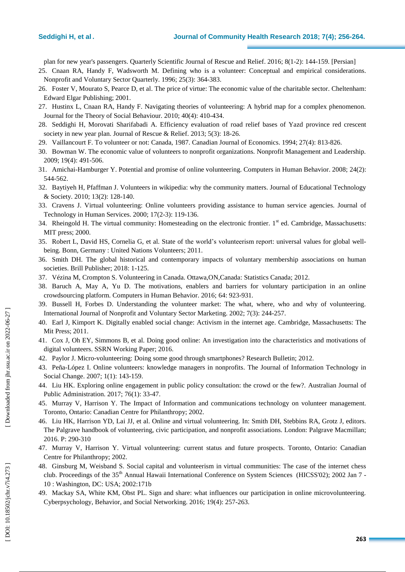plan for new year's passengers. Quarterly Scientific Journal of Rescue and Relief. 2016; 8(1-2): 144-159. [Persian]

- 25. Cnaan RA, Handy F, Wadsworth M. Defining who is a volunteer: Conceptual and empirical considerations. Nonprofit and Voluntary Sector Quarterly. 1996; 25(3): 364 - 383.
- 26. Foster V, Mourato S, Pearce D, et al. The price of virtue: The economic value of the charitable sector. Cheltenham: Edward Elgar Publishing; 2001.
- 27. Hustinx L, Cnaan RA, Handy F. Navigating theories of volunteering: A hybrid map for a complex phenomenon. Journal for the Theory of Social Behaviour. 2010; 40(4): 410 - 434.
- 28. Seddighi H, Morovati Sharifabadi A. Efficiency evaluation of road relief bases of Yazd province red crescent society in new year plan. [Journal of Rescue & Relief.](https://www.sid.ir/En/Journal/JournalList.aspx?ID=13798) 2013; 5(3): 18-26.
- 29. Vaillancourt F. To volunteer or not: Canada, 1987. Canadian Journal of Economics. 1994; 27(4): 813 826.
- 30. Bowman W. The economic value of volunteers to nonprofit organizations. Nonprofit Management and Leadership. 2009; 19(4): 491 -506.
- 31 . Amichai -Hamburger Y. Potential and promise of online volunteering. Computers in Human Behavior. 2008; 24(2): 544 - 562.
- 3 2 . Baytiyeh H, Pfaffman J. Volunteers in wikipedia: why the community matters. Journal of Educational Technology & Society. 2010; 13(2): 128 -140 .
- 3 3 . Cravens J. Virtual volunteering: Online volunteers providing assistance to human service agencies. Journal of Technology in Human Services. 2000; 17(2 -3): 119 - 136.
- 34. Rheingold H. The virtual community: Homesteading on the electronic frontier. 1<sup>st</sup> ed. Cambridge, Massachusetts: MIT press; 2000.
- 3 5 . Robert L, David HS, Cornelia G, et al. State of the world's volunteerism report: universal values for global well being. [Bonn, Germany : United Nations Volunteers;](https://www.researchonline.mq.edu.au/vital/access/manager/Repository?exact=sm_publisher%3A%22Bonn%2C+Germany+%3A+United+Nations+Volunteers%22) 2011.
- 36 . Smith DH. The global historical and contemporary impacts of voluntary membership associations on human societies . Brill Publisher; 2018: 1 -125.
- 37 . Vézina M, Crompton S. Volunteering in Canada. Ottawa,ON,Canada: Statistics Canada; 2012.
- 38 . Baruch A, May A, Yu D. The motivations, enablers and barriers for voluntary participation in an online crowdsourcing platform. Computers in Human Behavior. 2016; 64: 923 - 931.
- 39 . Bussell H, Forbes D. Understanding the volunteer market: The what, where, who and why of volunteering. International Journal of Nonprofit and Voluntary Sector Marketing. 2002; 7(3): 244 - 257.
- 40 . Earl J, Kimport K. Digitally enabled social change: Activism in the internet age. Cambridge, Massachusetts: The Mit Press; 2011.
- 41 . Cox J, Oh EY, Simmons B, et al. Doing good online: An investigation into the characteristics and motivations of digital volunteers. SSRN Working Paper; 2016.
- 4 2 . Paylor J. Micr o -volunteering: Doing some good through smartphones? Research Bulletin; 2012.
- 4 3 . Peña -López I. Online volunteers: knowledge managers in nonprofits. The Journal of Information Technology in Social Change. 2007; 1(1): 143-159.
- 4 4 . Liu HK. Exploring online engagement in public policy consultation: the crowd or the few?. Australian Journal of Public Administration. 2017; 76(1): 33 -47.
- 45 . Murray V, Harrison Y. The Impact of Information and communications technology on volunteer management. Toronto, Ontario: Canadian Centre for Philanthropy; 2002.
- 46 . Liu HK, Harrison YD, Lai JJ, et al. Online and virtual volunteering. In: Smith DH, Stebbins RA, Grotz J, editors. The Palgrave handbook of volunteering, civic participation, and nonprofit associations. London: Palgrave Macmillan; 2016. P : 290 -310
- 47 . Murray V, Harrison Y. Virtual volunteering: current status and future prospects. Toronto, Ontario: Canadian Centre for Philanthropy; 2002.
- 4 8 . Ginsburg M, Weisband S. Social capital and volunteerism in virtual communities: The case of the internet chess club. Proceedings of the 35<sup>th</sup> Annual Hawaii International Conference on System Sciences (HICSS'02); 2002 Jan 7 -10 : Washington, DC : USA; 2002:171b
- 49 . Mackay SA, White KM, Obst PL. Sign and share: what influences our participation in online microvolunteering. Cyberpsychology, Behavior, and Social Networking. 2016; 19(4): 257 - 263.